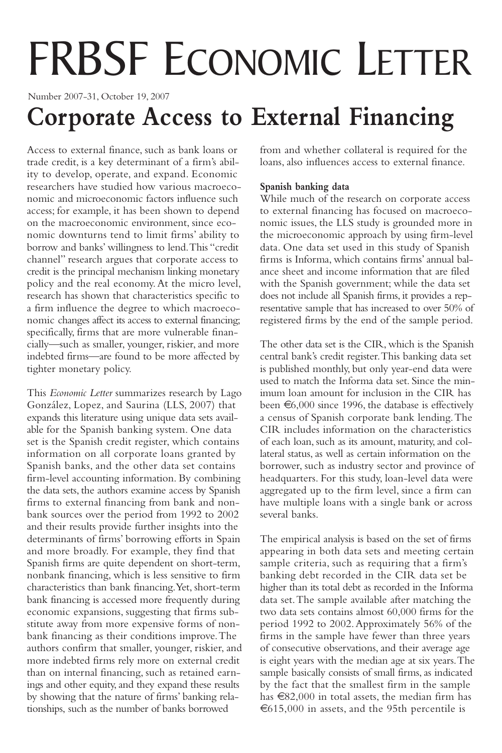# FRBSF ECONOMIC LETTER

Number 2007-31, October 19, 2007

## **Corporate Access to External Financing**

Access to external finance, such as bank loans or trade credit, is a key determinant of a firm's ability to develop, operate, and expand. Economic researchers have studied how various macroeconomic and microeconomic factors influence such access; for example, it has been shown to depend on the macroeconomic environment, since economic downturns tend to limit firms' ability to borrow and banks' willingness to lend.This "credit channel" research argues that corporate access to credit is the principal mechanism linking monetary policy and the real economy.At the micro level, research has shown that characteristics specific to a firm influence the degree to which macroeconomic changes affect its access to external financing; specifically, firms that are more vulnerable financially—such as smaller, younger, riskier, and more indebted firms—are found to be more affected by tighter monetary policy.

This *Economic Letter* summarizes research by Lago González, Lopez, and Saurina (LLS, 2007) that expands this literature using unique data sets available for the Spanish banking system. One data set is the Spanish credit register, which contains information on all corporate loans granted by Spanish banks, and the other data set contains firm-level accounting information. By combining the data sets, the authors examine access by Spanish firms to external financing from bank and nonbank sources over the period from 1992 to 2002 and their results provide further insights into the determinants of firms' borrowing efforts in Spain and more broadly. For example, they find that Spanish firms are quite dependent on short-term, nonbank financing, which is less sensitive to firm characteristics than bank financing.Yet, short-term bank financing is accessed more frequently during economic expansions, suggesting that firms substitute away from more expensive forms of nonbank financing as their conditions improve.The authors confirm that smaller, younger, riskier, and more indebted firms rely more on external credit than on internal financing, such as retained earnings and other equity, and they expand these results by showing that the nature of firms' banking relationships, such as the number of banks borrowed

from and whether collateral is required for the loans, also influences access to external finance.

#### **Spanish banking data**

While much of the research on corporate access to external financing has focused on macroeconomic issues, the LLS study is grounded more in the microeconomic approach by using firm-level data. One data set used in this study of Spanish firms is Informa, which contains firms'annual balance sheet and income information that are filed with the Spanish government; while the data set does not include all Spanish firms, it provides a representative sample that has increased to over 50% of registered firms by the end of the sample period.

The other data set is the CIR, which is the Spanish central bank's credit register.This banking data set is published monthly, but only year-end data were used to match the Informa data set. Since the minimum loan amount for inclusion in the CIR has been €6,000 since 1996, the database is effectively a census of Spanish corporate bank lending.The CIR includes information on the characteristics of each loan, such as its amount, maturity, and collateral status, as well as certain information on the borrower, such as industry sector and province of headquarters. For this study, loan-level data were aggregated up to the firm level, since a firm can have multiple loans with a single bank or across several banks.

The empirical analysis is based on the set of firms appearing in both data sets and meeting certain sample criteria, such as requiring that a firm's banking debt recorded in the CIR data set be higher than its total debt as recorded in the Informa data set.The sample available after matching the two data sets contains almost 60,000 firms for the period 1992 to 2002.Approximately 56% of the firms in the sample have fewer than three years of consecutive observations,and their average age is eight years with the median age at six years.The sample basically consists of small firms, as indicated by the fact that the smallest firm in the sample has €82,000 in total assets, the median firm has €615,000 in assets, and the 95th percentile is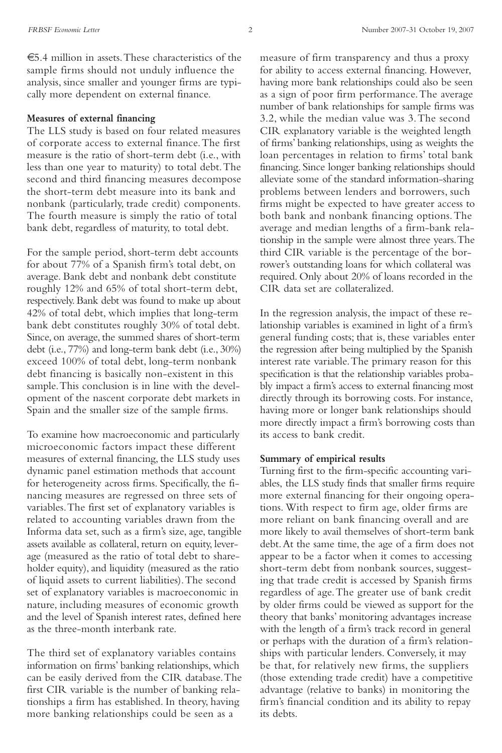€5.4 million in assets.These characteristics of the sample firms should not unduly influence the analysis, since smaller and younger firms are typically more dependent on external finance.

#### **Measures of external financing**

The LLS study is based on four related measures of corporate access to external finance.The first measure is the ratio of short-term debt (i.e., with less than one year to maturity) to total debt.The second and third financing measures decompose the short-term debt measure into its bank and nonbank (particularly, trade credit) components. The fourth measure is simply the ratio of total bank debt, regardless of maturity, to total debt.

For the sample period, short-term debt accounts for about 77% of a Spanish firm's total debt, on average. Bank debt and nonbank debt constitute roughly 12% and 65% of total short-term debt, respectively.Bank debt was found to make up about 42% of total debt, which implies that long-term bank debt constitutes roughly 30% of total debt. Since, on average, the summed shares of short-term debt (i.e., 77%) and long-term bank debt (i.e., 30%) exceed 100% of total debt, long-term nonbank debt financing is basically non-existent in this sample.This conclusion is in line with the development of the nascent corporate debt markets in Spain and the smaller size of the sample firms.

To examine how macroeconomic and particularly microeconomic factors impact these different measures of external financing, the LLS study uses dynamic panel estimation methods that account for heterogeneity across firms. Specifically, the financing measures are regressed on three sets of variables.The first set of explanatory variables is related to accounting variables drawn from the Informa data set, such as a firm's size,age, tangible assets available as collateral, return on equity, leverage (measured as the ratio of total debt to shareholder equity), and liquidity (measured as the ratio of liquid assets to current liabilities).The second set of explanatory variables is macroeconomic in nature, including measures of economic growth and the level of Spanish interest rates, defined here as the three-month interbank rate.

The third set of explanatory variables contains information on firms' banking relationships, which can be easily derived from the CIR database.The first CIR variable is the number of banking relationships a firm has established. In theory, having more banking relationships could be seen as a

measure of firm transparency and thus a proxy for ability to access external financing. However, having more bank relationships could also be seen as a sign of poor firm performance.The average number of bank relationships for sample firms was 3.2, while the median value was 3.The second CIR explanatory variable is the weighted length of firms' banking relationships, using as weights the loan percentages in relation to firms' total bank financing. Since longer banking relationships should alleviate some of the standard information-sharing problems between lenders and borrowers, such firms might be expected to have greater access to both bank and nonbank financing options.The average and median lengths of a firm-bank relationship in the sample were almost three years.The third CIR variable is the percentage of the borrower's outstanding loans for which collateral was required. Only about 20% of loans recorded in the CIR data set are collateralized.

In the regression analysis, the impact of these relationship variables is examined in light of a firm's general funding costs; that is, these variables enter the regression after being multiplied by the Spanish interest rate variable.The primary reason for this specification is that the relationship variables probably impact a firm's access to external financing most directly through its borrowing costs. For instance, having more or longer bank relationships should more directly impact a firm's borrowing costs than its access to bank credit.

#### **Summary of empirical results**

Turning first to the firm-specific accounting variables, the LLS study finds that smaller firms require more external financing for their ongoing operations. With respect to firm age, older firms are more reliant on bank financing overall and are more likely to avail themselves of short-term bank debt.At the same time, the age of a firm does not appear to be a factor when it comes to accessing short-term debt from nonbank sources, suggesting that trade credit is accessed by Spanish firms regardless of age.The greater use of bank credit by older firms could be viewed as support for the theory that banks' monitoring advantages increase with the length of a firm's track record in general or perhaps with the duration of a firm's relationships with particular lenders. Conversely, it may be that, for relatively new firms, the suppliers (those extending trade credit) have a competitive advantage (relative to banks) in monitoring the firm's financial condition and its ability to repay its debts.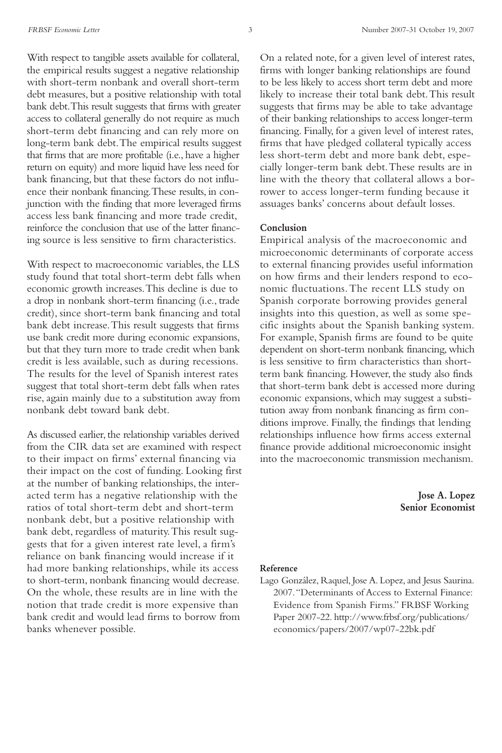With respect to tangible assets available for collateral, the empirical results suggest a negative relationship with short-term nonbank and overall short-term debt measures, but a positive relationship with total bank debt.This result suggests that firms with greater access to collateral generally do not require as much short-term debt financing and can rely more on long-term bank debt.The empirical results suggest that firms that are more profitable (i.e., have a higher return on equity) and more liquid have less need for bank financing, but that these factors do not influence their nonbank financing.These results, in conjunction with the finding that more leveraged firms access less bank financing and more trade credit, reinforce the conclusion that use of the latter financing source is less sensitive to firm characteristics.

With respect to macroeconomic variables, the LLS study found that total short-term debt falls when economic growth increases.This decline is due to a drop in nonbank short-term financing (i.e., trade credit), since short-term bank financing and total bank debt increase.This result suggests that firms use bank credit more during economic expansions, but that they turn more to trade credit when bank credit is less available, such as during recessions. The results for the level of Spanish interest rates suggest that total short-term debt falls when rates rise, again mainly due to a substitution away from nonbank debt toward bank debt.

As discussed earlier, the relationship variables derived from the CIR data set are examined with respect to their impact on firms' external financing via their impact on the cost of funding. Looking first at the number of banking relationships, the interacted term has a negative relationship with the ratios of total short-term debt and short-term nonbank debt, but a positive relationship with bank debt, regardless of maturity.This result suggests that for a given interest rate level, a firm's reliance on bank financing would increase if it had more banking relationships, while its access to short-term, nonbank financing would decrease. On the whole, these results are in line with the notion that trade credit is more expensive than bank credit and would lead firms to borrow from banks whenever possible.

On a related note, for a given level of interest rates, firms with longer banking relationships are found to be less likely to access short term debt and more likely to increase their total bank debt.This result suggests that firms may be able to take advantage of their banking relationships to access longer-term financing. Finally, for a given level of interest rates, firms that have pledged collateral typically access less short-term debt and more bank debt, especially longer-term bank debt.These results are in line with the theory that collateral allows a borrower to access longer-term funding because it assuages banks' concerns about default losses.

#### **Conclusion**

Empirical analysis of the macroeconomic and microeconomic determinants of corporate access to external financing provides useful information on how firms and their lenders respond to economic fluctuations.The recent LLS study on Spanish corporate borrowing provides general insights into this question, as well as some specific insights about the Spanish banking system. For example, Spanish firms are found to be quite dependent on short-term nonbank financing, which is less sensitive to firm characteristics than shortterm bank financing. However, the study also finds that short-term bank debt is accessed more during economic expansions, which may suggest a substitution away from nonbank financing as firm conditions improve. Finally, the findings that lending relationships influence how firms access external finance provide additional microeconomic insight into the macroeconomic transmission mechanism.

> **Jose A. Lopez Senior Economist**

#### **Reference**

Lago González, Raquel, Jose A. Lopez,and Jesus Saurina. 2007."Determinants of Access to External Finance: Evidence from Spanish Firms." FRBSF Working Paper 2007-22. http://www.frbsf.org/publications/ economics/papers/2007/wp07-22bk.pdf